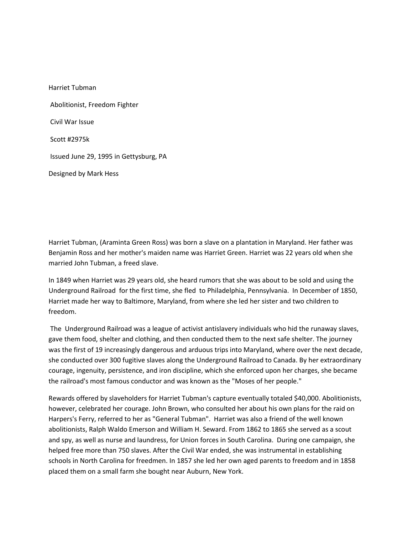Harriet Tubman Abolitionist, Freedom Fighter Civil War Issue Scott #2975k Issued June 29, 1995 in Gettysburg, PA Designed by Mark Hess

Harriet Tubman, (Araminta Green Ross) was born a slave on a plantation in Maryland. Her father was Benjamin Ross and her mother's maiden name was Harriet Green. Harriet was 22 years old when she married John Tubman, a freed slave.

In 1849 when Harriet was 29 years old, she heard rumors that she was about to be sold and using the Underground Railroad for the first time, she fled to Philadelphia, Pennsylvania. In December of 1850, Harriet made her way to Baltimore, Maryland, from where she led her sister and two children to freedom.

The Underground Railroad was a league of activist antislavery individuals who hid the runaway slaves, gave them food, shelter and clothing, and then conducted them to the next safe shelter. The journey was the first of 19 increasingly dangerous and arduous trips into Maryland, where over the next decade, she conducted over 300 fugitive slaves along the Underground Railroad to Canada. By her extraordinary courage, ingenuity, persistence, and iron discipline, which she enforced upon her charges, she became the railroad's most famous conductor and was known as the "Moses of her people."

Rewards offered by slaveholders for Harriet Tubman's capture eventually totaled \$40,000. Abolitionists, however, celebrated her courage. John Brown, who consulted her about his own plans for the raid on Harpers's Ferry, referred to her as "General Tubman". Harriet was also a friend of the well known abolitionists, Ralph Waldo Emerson and William H. Seward. From 1862 to 1865 she served as a scout and spy, as well as nurse and laundress, for Union forces in South Carolina. During one campaign, she helped free more than 750 slaves. After the Civil War ended, she was instrumental in establishing schools in North Carolina for freedmen. In 1857 she led her own aged parents to freedom and in 1858 placed them on a small farm she bought near Auburn, New York.